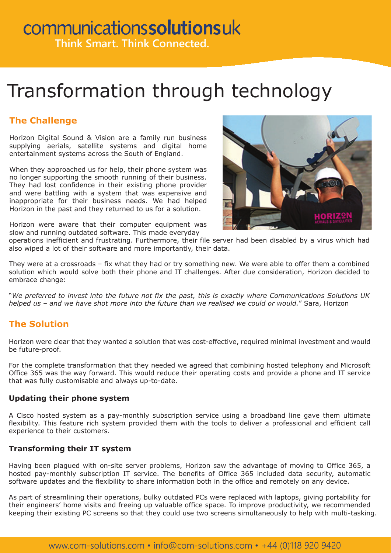## communicationssolutionsuk **Think Smart. Think Connected.**

## Transformation through technology

### **The Challenge**

Horizon Digital Sound & Vision are a family run business supplying aerials, satellite systems and digital home entertainment systems across the South of England.

When they approached us for help, their phone system was no longer supporting the smooth running of their business. They had lost confidence in their existing phone provider and were battling with a system that was expensive and inappropriate for their business needs. We had helped Horizon in the past and they returned to us for a solution.

Horizon were aware that their computer equipment was slow and running outdated software. This made everyday



operations inefficient and frustrating. Furthermore, their file server had been disabled by a virus which had also wiped a lot of their software and more importantly, their data.

They were at a crossroads – fix what they had or try something new. We were able to offer them a combined solution which would solve both their phone and IT challenges. After due consideration, Horizon decided to embrace change:

"*We preferred to invest into the future not fix the past, this is exactly where Communications Solutions UK helped us – and we have shot more into the future than we realised we could or would.*" Sara, Horizon

### **The Solution**

Horizon were clear that they wanted a solution that was cost-effective, required minimal investment and would be future-proof.

For the complete transformation that they needed we agreed that combining hosted telephony and Microsoft Office 365 was the way forward. This would reduce their operating costs and provide a phone and IT service that was fully customisable and always up-to-date.

### **Updating their phone system**

A Cisco hosted system as a pay-monthly subscription service using a broadband line gave them ultimate flexibility. This feature rich system provided them with the tools to deliver a professional and efficient call experience to their customers.

### **Transforming their IT system**

Having been plagued with on-site server problems, Horizon saw the advantage of moving to Office 365, a hosted pay-monthly subscription IT service. The benefits of Office 365 included data security, automatic software updates and the flexibility to share information both in the office and remotely on any device.

As part of streamlining their operations, bulky outdated PCs were replaced with laptops, giving portability for their engineers' home visits and freeing up valuable office space. To improve productivity, we recommended keeping their existing PC screens so that they could use two screens simultaneously to help with multi-tasking.